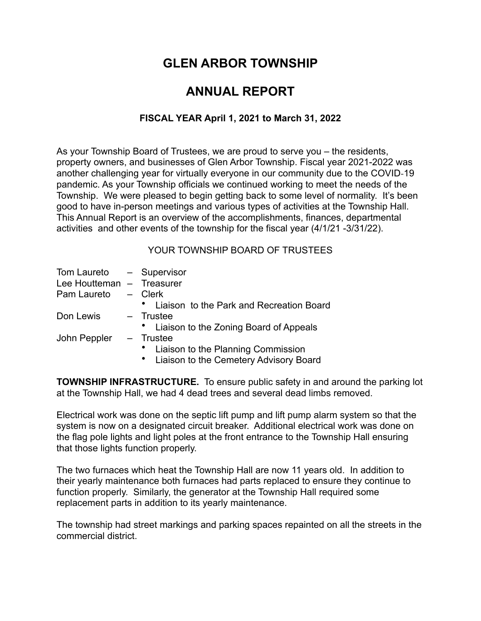# **GLEN ARBOR TOWNSHIP**

## **ANNUAL REPORT**

## **FISCAL YEAR April 1, 2021 to March 31, 2022**

As your Township Board of Trustees, we are proud to serve you – the residents, property owners, and businesses of Glen Arbor Township. Fiscal year 2021-2022 was another challenging year for virtually everyone in our community due to the COVID-19 pandemic. As your Township officials we continued working to meet the needs of the Township. We were pleased to begin getting back to some level of normality. It's been good to have in-person meetings and various types of activities at the Township Hall. This Annual Report is an overview of the accomplishments, finances, departmental activities and other events of the township for the fiscal year (4/1/21 -3/31/22).

### YOUR TOWNSHIP BOARD OF TRUSTEES

| Tom Laureto - Supervisor  |                                          |
|---------------------------|------------------------------------------|
| Lee Houtteman - Treasurer |                                          |
| Pam Laureto               | - Clerk                                  |
|                           | Liaison to the Park and Recreation Board |
| Don Lewis                 | - Trustee                                |
|                           | • Liaison to the Zoning Board of Appeals |
| John Peppler              | - Trustee                                |
|                           | Liaison to the Planning Commission       |
|                           | Liaison to the Cemetery Advisory Board   |

**TOWNSHIP INFRASTRUCTURE.** To ensure public safety in and around the parking lot at the Township Hall, we had 4 dead trees and several dead limbs removed.

Electrical work was done on the septic lift pump and lift pump alarm system so that the system is now on a designated circuit breaker. Additional electrical work was done on the flag pole lights and light poles at the front entrance to the Township Hall ensuring that those lights function properly.

The two furnaces which heat the Township Hall are now 11 years old. In addition to their yearly maintenance both furnaces had parts replaced to ensure they continue to function properly. Similarly, the generator at the Township Hall required some replacement parts in addition to its yearly maintenance.

The township had street markings and parking spaces repainted on all the streets in the commercial district.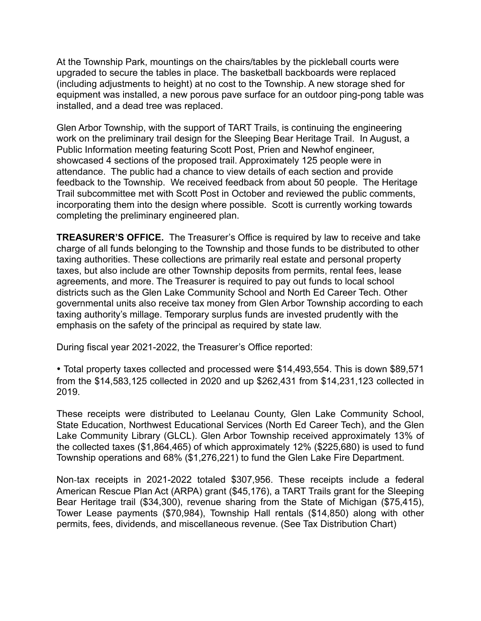At the Township Park, mountings on the chairs/tables by the pickleball courts were upgraded to secure the tables in place. The basketball backboards were replaced (including adjustments to height) at no cost to the Township. A new storage shed for equipment was installed, a new porous pave surface for an outdoor ping-pong table was installed, and a dead tree was replaced.

Glen Arbor Township, with the support of TART Trails, is continuing the engineering work on the preliminary trail design for the Sleeping Bear Heritage Trail. In August, a Public Information meeting featuring Scott Post, Prien and Newhof engineer, showcased 4 sections of the proposed trail. Approximately 125 people were in attendance. The public had a chance to view details of each section and provide feedback to the Township. We received feedback from about 50 people. The Heritage Trail subcommittee met with Scott Post in October and reviewed the public comments, incorporating them into the design where possible. Scott is currently working towards completing the preliminary engineered plan.

**TREASURER'S OFFICE.** The Treasurer's Office is required by law to receive and take charge of all funds belonging to the Township and those funds to be distributed to other taxing authorities. These collections are primarily real estate and personal property taxes, but also include are other Township deposits from permits, rental fees, lease agreements, and more. The Treasurer is required to pay out funds to local school districts such as the Glen Lake Community School and North Ed Career Tech. Other governmental units also receive tax money from Glen Arbor Township according to each taxing authority's millage. Temporary surplus funds are invested prudently with the emphasis on the safety of the principal as required by state law.

During fiscal year 2021-2022, the Treasurer's Office reported:

• Total property taxes collected and processed were \$14,493,554. This is down \$89,571 from the \$14,583,125 collected in 2020 and up \$262,431 from \$14,231,123 collected in 2019.

These receipts were distributed to Leelanau County, Glen Lake Community School, State Education, Northwest Educational Services (North Ed Career Tech), and the Glen Lake Community Library (GLCL). Glen Arbor Township received approximately 13% of the collected taxes (\$1,864,465) of which approximately 12% (\$225,680) is used to fund Township operations and 68% (\$1,276,221) to fund the Glen Lake Fire Department.

Non-tax receipts in 2021-2022 totaled \$307,956. These receipts include a federal American Rescue Plan Act (ARPA) grant (\$45,176), a TART Trails grant for the Sleeping Bear Heritage trail (\$34,300), revenue sharing from the State of Michigan (\$75,415), Tower Lease payments (\$70,984), Township Hall rentals (\$14,850) along with other permits, fees, dividends, and miscellaneous revenue. (See Tax Distribution Chart)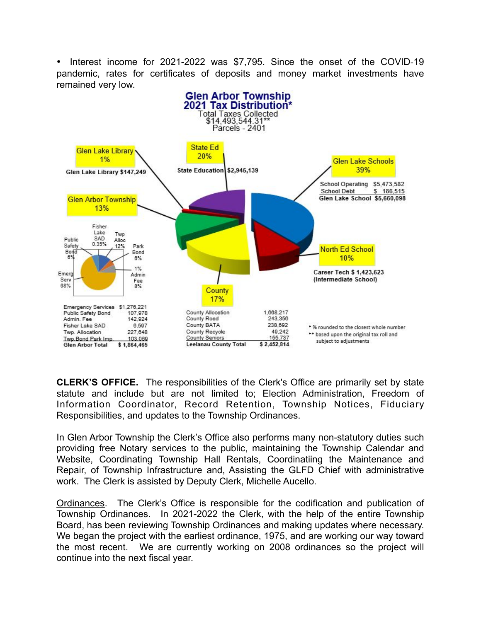• Interest income for 2021-2022 was \$7,795. Since the onset of the COVID-19 pandemic, rates for certificates of deposits and money market investments have remained very low.



**CLERK'S OFFICE.** The responsibilities of the Clerk's Office are primarily set by state statute and include but are not limited to; Election Administration, Freedom of Information Coordinator, Record Retention, Township Notices, Fiduciary Responsibilities, and updates to the Township Ordinances.

In Glen Arbor Township the Clerk's Office also performs many non-statutory duties such providing free Notary services to the public, maintaining the Township Calendar and Website, Coordinating Township Hall Rentals, Coordinatiing the Maintenance and Repair, of Township Infrastructure and, Assisting the GLFD Chief with administrative work. The Clerk is assisted by Deputy Clerk, Michelle Aucello.

Ordinances. The Clerk's Office is responsible for the codification and publication of Township Ordinances. In 2021-2022 the Clerk, with the help of the entire Township Board, has been reviewing Township Ordinances and making updates where necessary. We began the project with the earliest ordinance, 1975, and are working our way toward the most recent. We are currently working on 2008 ordinances so the project will continue into the next fiscal year.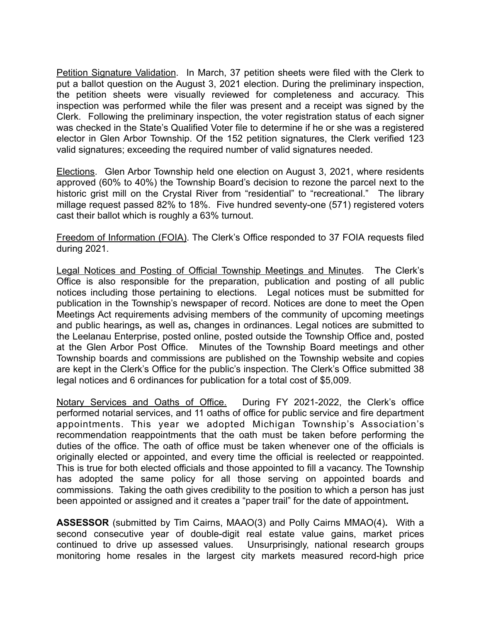Petition Signature Validation. In March, 37 petition sheets were filed with the Clerk to put a ballot question on the August 3, 2021 election. During the preliminary inspection, the petition sheets were visually reviewed for completeness and accuracy. This inspection was performed while the filer was present and a receipt was signed by the Clerk. Following the preliminary inspection, the voter registration status of each signer was checked in the State's Qualified Voter file to determine if he or she was a registered elector in Glen Arbor Township. Of the 152 petition signatures, the Clerk verified 123 valid signatures; exceeding the required number of valid signatures needed.

Elections. Glen Arbor Township held one election on August 3, 2021, where residents approved (60% to 40%) the Township Board's decision to rezone the parcel next to the historic grist mill on the Crystal River from "residential" to "recreational." The library millage request passed 82% to 18%. Five hundred seventy-one (571) registered voters cast their ballot which is roughly a 63% turnout.

Freedom of Information (FOIA). The Clerk's Office responded to 37 FOIA requests filed during 2021.

Legal Notices and Posting of Official Township Meetings and Minutes. The Clerk's Office is also responsible for the preparation, publication and posting of all public notices including those pertaining to elections. Legal notices must be submitted for publication in the Township's newspaper of record. Notices are done to meet the Open Meetings Act requirements advising members of the community of upcoming meetings and public hearings**,** as well as**,** changes in ordinances. Legal notices are submitted to the Leelanau Enterprise, posted online, posted outside the Township Office and, posted at the Glen Arbor Post Office. Minutes of the Township Board meetings and other Township boards and commissions are published on the Township website and copies are kept in the Clerk's Office for the public's inspection. The Clerk's Office submitted 38 legal notices and 6 ordinances for publication for a total cost of \$5,009.

Notary Services and Oaths of Office. During FY 2021-2022, the Clerk's office performed notarial services, and 11 oaths of office for public service and fire department appointments. This year we adopted Michigan Township's Association's recommendation reappointments that the oath must be taken before performing the duties of the office. The oath of office must be taken whenever one of the officials is originally elected or appointed, and every time the official is reelected or reappointed. This is true for both elected officials and those appointed to fill a vacancy. The Township has adopted the same policy for all those serving on appointed boards and commissions. Taking the oath gives credibility to the position to which a person has just been appointed or assigned and it creates a "paper trail" for the date of appointment**.**

**ASSESSOR** (submitted by Tim Cairns, MAAO(3) and Polly Cairns MMAO(4)**.** With a second consecutive year of double-digit real estate value gains, market prices continued to drive up assessed values. Unsurprisingly, national research groups monitoring home resales in the largest city markets measured record-high price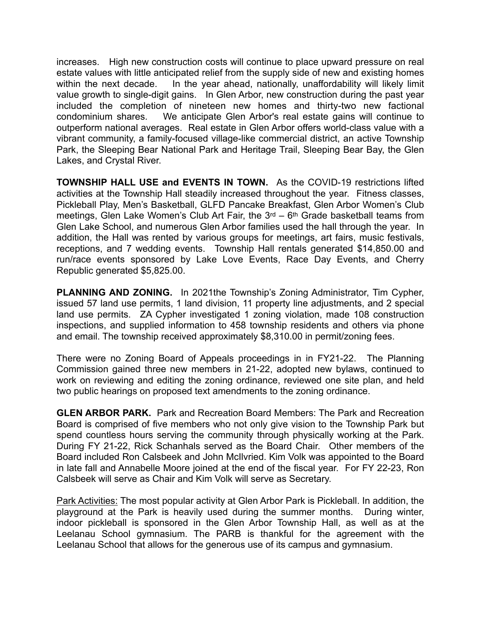increases. High new construction costs will continue to place upward pressure on real estate values with little anticipated relief from the supply side of new and existing homes within the next decade. In the year ahead, nationally, unaffordability will likely limit value growth to single-digit gains. In Glen Arbor, new construction during the past year included the completion of nineteen new homes and thirty-two new factional condominium shares. We anticipate Glen Arbor's real estate gains will continue to outperform national averages. Real estate in Glen Arbor offers world-class value with a vibrant community, a family-focused village-like commercial district, an active Township Park, the Sleeping Bear National Park and Heritage Trail, Sleeping Bear Bay, the Glen Lakes, and Crystal River.

**TOWNSHIP HALL USE and EVENTS IN TOWN.** As the COVID-19 restrictions lifted activities at the Township Hall steadily increased throughout the year. Fitness classes, Pickleball Play, Men's Basketball, GLFD Pancake Breakfast, Glen Arbor Women's Club meetings, Glen Lake Women's Club Art Fair, the  $3<sup>rd</sup> - 6<sup>th</sup>$  Grade basketball teams from Glen Lake School, and numerous Glen Arbor families used the hall through the year. In addition, the Hall was rented by various groups for meetings, art fairs, music festivals, receptions, and 7 wedding events. Township Hall rentals generated \$14,850.00 and run/race events sponsored by Lake Love Events, Race Day Events, and Cherry Republic generated \$5,825.00.

**PLANNING AND ZONING.** In 2021the Township's Zoning Administrator, Tim Cypher, issued 57 land use permits, 1 land division, 11 property line adjustments, and 2 special land use permits. ZA Cypher investigated 1 zoning violation, made 108 construction inspections, and supplied information to 458 township residents and others via phone and email. The township received approximately \$8,310.00 in permit/zoning fees.

There were no Zoning Board of Appeals proceedings in in FY21-22. The Planning Commission gained three new members in 21-22, adopted new bylaws, continued to work on reviewing and editing the zoning ordinance, reviewed one site plan, and held two public hearings on proposed text amendments to the zoning ordinance.

**GLEN ARBOR PARK.** Park and Recreation Board Members: The Park and Recreation Board is comprised of five members who not only give vision to the Township Park but spend countless hours serving the community through physically working at the Park. During FY 21-22, Rick Schanhals served as the Board Chair. Other members of the Board included Ron Calsbeek and John McIlvried. Kim Volk was appointed to the Board in late fall and Annabelle Moore joined at the end of the fiscal year. For FY 22-23, Ron Calsbeek will serve as Chair and Kim Volk will serve as Secretary.

Park Activities: The most popular activity at Glen Arbor Park is Pickleball. In addition, the playground at the Park is heavily used during the summer months. During winter, indoor pickleball is sponsored in the Glen Arbor Township Hall, as well as at the Leelanau School gymnasium. The PARB is thankful for the agreement with the Leelanau School that allows for the generous use of its campus and gymnasium.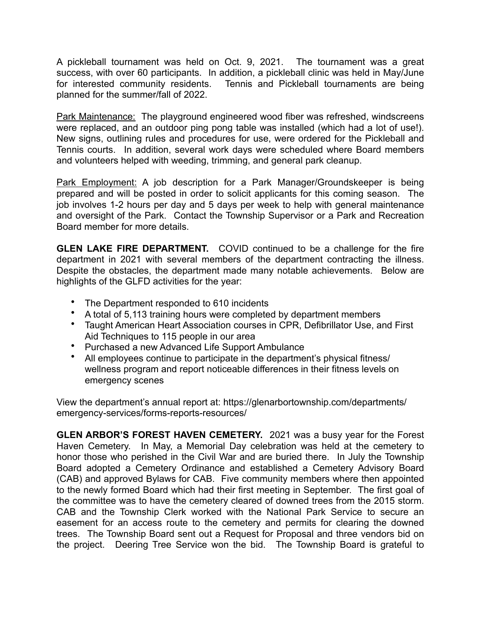A pickleball tournament was held on Oct. 9, 2021. The tournament was a great success, with over 60 participants. In addition, a pickleball clinic was held in May/June for interested community residents. Tennis and Pickleball tournaments are being planned for the summer/fall of 2022.

Park Maintenance: The playground engineered wood fiber was refreshed, windscreens were replaced, and an outdoor ping pong table was installed (which had a lot of use!). New signs, outlining rules and procedures for use, were ordered for the Pickleball and Tennis courts. In addition, several work days were scheduled where Board members and volunteers helped with weeding, trimming, and general park cleanup.

Park Employment: A job description for a Park Manager/Groundskeeper is being prepared and will be posted in order to solicit applicants for this coming season. The job involves 1-2 hours per day and 5 days per week to help with general maintenance and oversight of the Park. Contact the Township Supervisor or a Park and Recreation Board member for more details.

**GLEN LAKE FIRE DEPARTMENT.** COVID continued to be a challenge for the fire department in 2021 with several members of the department contracting the illness. Despite the obstacles, the department made many notable achievements. Below are highlights of the GLFD activities for the year:

- The Department responded to 610 incidents
- A total of 5,113 training hours were completed by department members
- Taught American Heart Association courses in CPR, Defibrillator Use, and First Aid Techniques to 115 people in our area
- Purchased a new Advanced Life Support Ambulance
- All employees continue to participate in the department's physical fitness/ wellness program and report noticeable differences in their fitness levels on emergency scenes

[View the department's annual report at: https://glenarbortownship.com/departments/](https://glenarbortownship.com/departments/emergency-services/forms-reports-resources/) [emergency-services/forms-reports-resources/](https://glenarbortownship.com/departments/emergency-services/forms-reports-resources/)

**GLEN ARBOR'S FOREST HAVEN CEMETERY.** 2021 was a busy year for the Forest Haven Cemetery. In May, a Memorial Day celebration was held at the cemetery to honor those who perished in the Civil War and are buried there. In July the Township Board adopted a Cemetery Ordinance and established a Cemetery Advisory Board (CAB) and approved Bylaws for CAB. Five community members where then appointed to the newly formed Board which had their first meeting in September. The first goal of the committee was to have the cemetery cleared of downed trees from the 2015 storm. CAB and the Township Clerk worked with the National Park Service to secure an easement for an access route to the cemetery and permits for clearing the downed trees. The Township Board sent out a Request for Proposal and three vendors bid on the project. Deering Tree Service won the bid. The Township Board is grateful to